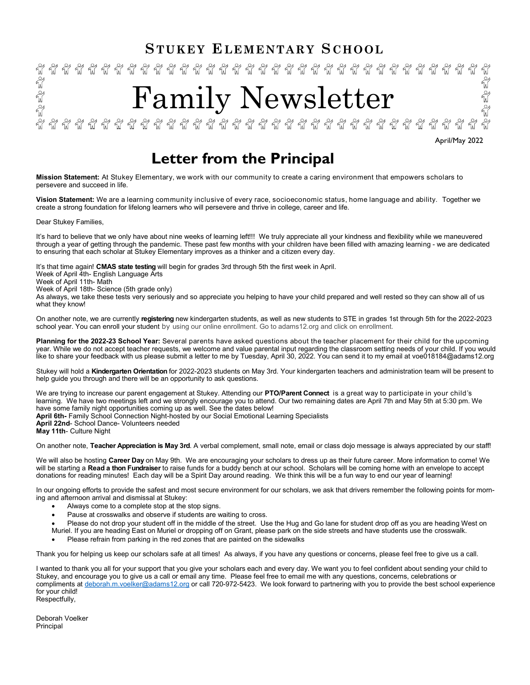# **S TUKEY ELEMENTARY S CHOOL**



# **Letter from the Principal**

**Mission Statement:** At Stukey Elementary, we work with our community to create a caring environment that empowers scholars to persevere and succeed in life.

**Vision Statement:** We are a learning community inclusive of every race, socioeconomic status, home language and ability. Together we create a strong foundation for lifelong learners who will persevere and thrive in college, career and life.

Dear Stukey Families,

It's hard to believe that we only have about nine weeks of learning left!!! We truly appreciate all your kindness and flexibility while we maneuvered through a year of getting through the pandemic. These past few months with your children have been filled with amazing learning - we are dedicated to ensuring that each scholar at Stukey Elementary improves as a thinker and a citizen every day.

It's that time again! **CMAS state testing** will begin for grades 3rd through 5th the first week in April.

Week of April 4th- English Language Arts

Week of April 11th- Math

Week of April 18th- Science (5th grade only)

As always, we take these tests very seriously and so appreciate you helping to have your child prepared and well rested so they can show all of us what they know!

On another note, we are currently **registering** new kindergarten students, as well as new students to STE in grades 1st through 5th for the 2022-2023 school year. You can enroll your student by using our online enrollment. Go to adams12.org and click on enrollment.

**Planning for the 2022-23 School Year:** Several parents have asked questions about the teacher placement for their child for the upcoming year. While we do not accept teacher requests, we welcome and value parental input regarding the classroom setting needs of your child. If you would like to share your feedback with us please submit a letter to me by Tuesday, April 30, 2022. You can send it to my email at voe018184@adams12.org

Stukey will hold a **Kindergarten Orientation** for 2022-2023 students on May 3rd. Your kindergarten teachers and administration team will be present to help guide you through and there will be an opportunity to ask questions.

We are trying to increase our parent engagement at Stukey. Attending our **PTO/Parent Connect** is a great way to participate in your child's learning. We have two meetings left and we strongly encourage you to attend. Our two remaining dates are April 7th and May 5th at 5:30 pm. We have some family night opportunities coming up as well. See the dates below! **April 6th-** Family School Connection Night-hosted by our Social Emotional Learning Specialists

**April 22nd**- School Dance- Volunteers needed

**May 11th**- Culture Night

On another note, **Teacher Appreciation is May 3rd**. A verbal complement, small note, email or class dojo message is always appreciated by our staff!

We will also be hosting **Career Day** on May 9th. We are encouraging your scholars to dress up as their future career. More information to come! We will be starting a **Read a thon Fundraiser** to raise funds for a buddy bench at our school. Scholars will be coming home with an envelope to accept donations for reading minutes! Each day will be a Spirit Day around reading. We think this will be a fun way to end our year of learning!

In our ongoing efforts to provide the safest and most secure environment for our scholars, we ask that drivers remember the following points for morning and afternoon arrival and dismissal at Stukey:

- Always come to a complete stop at the stop signs.
- Pause at crosswalks and observe if students are waiting to cross.
- Please do not drop your student off in the middle of the street. Use the Hug and Go lane for student drop off as you are heading West on
- Muriel. If you are heading East on Muriel or dropping off on Grant, please park on the side streets and have students use the crosswalk.
- Please refrain from parking in the red zones that are painted on the sidewalks

Thank you for helping us keep our scholars safe at all times! As always, if you have any questions or concerns, please feel free to give us a call.

I wanted to thank you all for your support that you give your scholars each and every day. We want you to feel confident about sending your child to Stukey, and encourage you to give us a call or email any time. Please feel free to email me with any questions, concerns, celebrations or compliments at [deborah.m.voelker@adams12.org](mailto:deborah.m.voelker@adams12.org) or call 720-972-5423. We look forward to partnering with you to provide the best school experience for your child! Respectfully,

Deborah Voelker Principal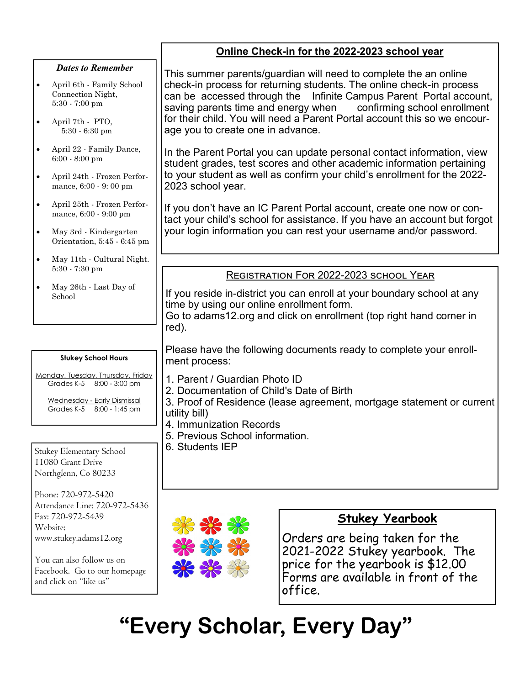### **Online Check-in for the 2022-2023 school year** This summer parents/guardian will need to complete the an online check-in process for returning students. The online check-in process age you to create one in advance. 2023 school year. your login information you can rest your username and/or password. *Dates to Remember* April 6th - Family School Connection Night, 5:30 - 7:00 pm April 7th - PTO, 5:30 - 6:30 pm April 22 - Family Dance, 6:00 - 8:00 pm April 24th - Frozen Performance, 6:00 - 9: 00 pm April 25th - Frozen Performance, 6:00 - 9:00 pm May 3rd - Kindergarten Orientation, 5:45 - 6:45 pm

- May 11th Cultural Night. 5:30 - 7:30 pm
- May 26th Last Day of School

# **Stukey School Hours**

Monday, Tuesday, Thursday, Friday Grades K-5 8:00 - 3:00 pm

Wednesday - Early Dismissal Grades K-5 8:00 - 1:45 pm

Stukey Elementary School 11080 Grant Drive Northglenn, Co 80233

Phone: 720-972-5420 Attendance Line: 720-972-5436 Fax: 720-972-5439 Website: www.stukey.adams12.org

You can also follow us on Facebook. Go to our homepage and click on "like us"

can be accessed through the Infinite Campus Parent Portal account, saving parents time and energy when confirming school enrollment for their child. You will need a Parent Portal account this so we encour-

In the Parent Portal you can update personal contact information, view student grades, test scores and other academic information pertaining to your student as well as confirm your child's enrollment for the 2022-

If you don't have an IC Parent Portal account, create one now or contact your child's school for assistance. If you have an account but forgot

# REGISTRATION FOR 2022-2023 SCHOOL YEAR

If you reside in-district you can enroll at your boundary school at any time by using our online enrollment form. Go to adams12.org and click on enrollment (top right hand corner in red).

Please have the following documents ready to complete your enrollment process:

- 1. Parent / Guardian Photo ID
- 2. Documentation of Child's Date of Birth

3. [Proof of Residence](https://www.adams12.org/admissions/proof-residence) (lease agreement, mortgage statement or current utility bill)

- 4. [Immunization Records](https://www.adams12.org/health-services/immunizations)
- 5. Previous School information.
- 6. Students IEP



# **Stukey Yearbook**

Orders are being taken for the 2021-2022 Stukey yearbook. The price for the yearbook is \$12.00 Forms are available in front of the office.

**"Every Scholar, Every Day"**